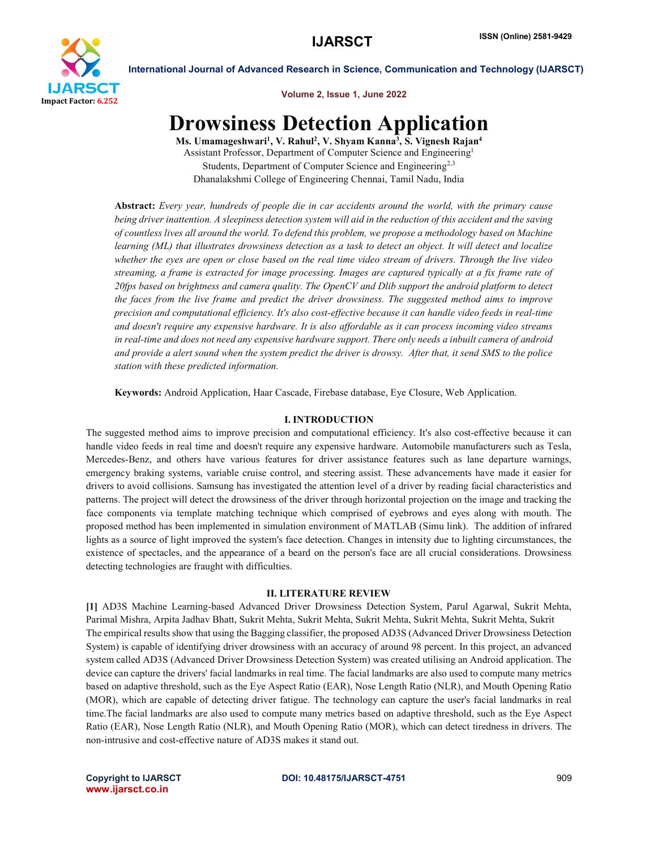

Volume 2, Issue 1, June 2022

# Drowsiness Detection Application

Ms. Umamageshwari<sup>1</sup>, V. Rahul<sup>2</sup>, V. Shyam Kanna<sup>3</sup>, S. Vignesh Rajan<sup>4</sup> Assistant Professor, Department of Computer Science and Engineering1 Students, Department of Computer Science and Engineering<sup>2,3</sup> Dhanalakshmi College of Engineering Chennai, Tamil Nadu, India

Abstract: *Every year, hundreds of people die in car accidents around the world, with the primary cause being driver inattention. A sleepiness detection system will aid in the reduction of this accident and the saving of countless lives all around the world. To defend this problem, we propose a methodology based on Machine learning (ML) that illustrates drowsiness detection as a task to detect an object. It will detect and localize whether the eyes are open or close based on the real time video stream of drivers. Through the live video streaming, a frame is extracted for image processing. Images are captured typically at a fix frame rate of 20fps based on brightness and camera quality. The OpenCV and Dlib support the android platform to detect the faces from the live frame and predict the driver drowsiness. The suggested method aims to improve precision and computational efficiency. It's also cost-effective because it can handle video feeds in real-time and doesn't require any expensive hardware. It is also affordable as it can process incoming video streams in real-time and does not need any expensive hardware support. There only needs a inbuilt camera of android and provide a alert sound when the system predict the driver is drowsy. After that, it send SMS to the police station with these predicted information.*

Keywords: Android Application, Haar Cascade, Firebase database, Eye Closure, Web Application.

## I. INTRODUCTION

The suggested method aims to improve precision and computational efficiency. It's also cost-effective because it can handle video feeds in real time and doesn't require any expensive hardware. Automobile manufacturers such as Tesla, Mercedes-Benz, and others have various features for driver assistance features such as lane departure warnings, emergency braking systems, variable cruise control, and steering assist. These advancements have made it easier for drivers to avoid collisions. Samsung has investigated the attention level of a driver by reading facial characteristics and patterns. The project will detect the drowsiness of the driver through horizontal projection on the image and tracking the face components via template matching technique which comprised of eyebrows and eyes along with mouth. The proposed method has been implemented in simulation environment of MATLAB (Simu link). The addition of infrared lights as a source of light improved the system's face detection. Changes in intensity due to lighting circumstances, the existence of spectacles, and the appearance of a beard on the person's face are all crucial considerations. Drowsiness detecting technologies are fraught with difficulties.

#### II. LITERATURE REVIEW

[1] AD3S Machine Learning-based Advanced Driver Drowsiness Detection System, Parul Agarwal, Sukrit Mehta, Parimal Mishra, Arpita Jadhav Bhatt, Sukrit Mehta, Sukrit Mehta, Sukrit Mehta, Sukrit Mehta, Sukrit Mehta, Sukrit The empirical results show that using the Bagging classifier, the proposed AD3S (Advanced Driver Drowsiness Detection System) is capable of identifying driver drowsiness with an accuracy of around 98 percent. In this project, an advanced system called AD3S (Advanced Driver Drowsiness Detection System) was created utilising an Android application. The device can capture the drivers' facial landmarks in real time. The facial landmarks are also used to compute many metrics based on adaptive threshold, such as the Eye Aspect Ratio (EAR), Nose Length Ratio (NLR), and Mouth Opening Ratio (MOR), which are capable of detecting driver fatigue. The technology can capture the user's facial landmarks in real time.The facial landmarks are also used to compute many metrics based on adaptive threshold, such as the Eye Aspect Ratio (EAR), Nose Length Ratio (NLR), and Mouth Opening Ratio (MOR), which can detect tiredness in drivers. The non-intrusive and cost-effective nature of AD3S makes it stand out.

www.ijarsct.co.in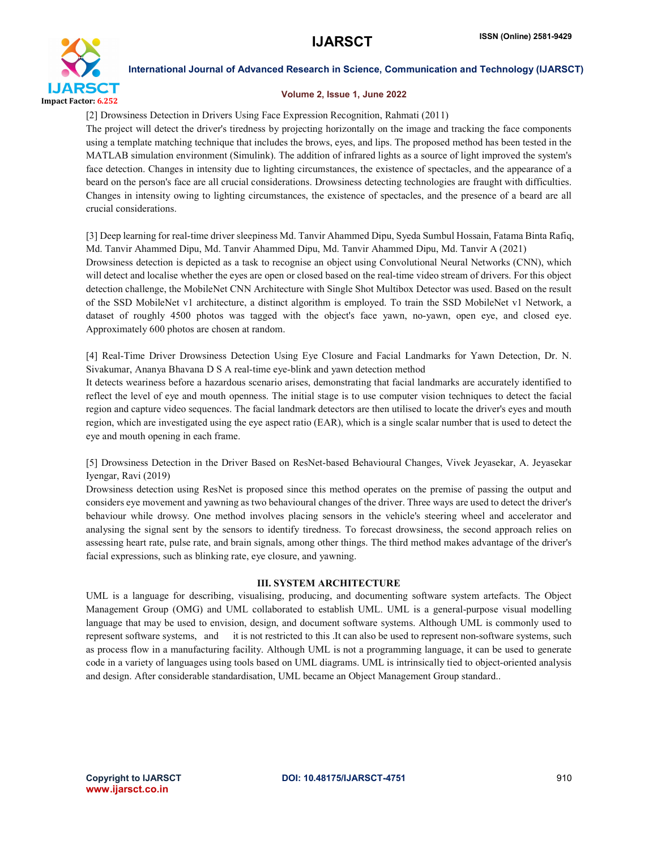

#### Volume 2, Issue 1, June 2022

[2] Drowsiness Detection in Drivers Using Face Expression Recognition, Rahmati (2011)

The project will detect the driver's tiredness by projecting horizontally on the image and tracking the face components using a template matching technique that includes the brows, eyes, and lips. The proposed method has been tested in the MATLAB simulation environment (Simulink). The addition of infrared lights as a source of light improved the system's face detection. Changes in intensity due to lighting circumstances, the existence of spectacles, and the appearance of a beard on the person's face are all crucial considerations. Drowsiness detecting technologies are fraught with difficulties. Changes in intensity owing to lighting circumstances, the existence of spectacles, and the presence of a beard are all crucial considerations.

[3] Deep learning for real-time driver sleepiness Md. Tanvir Ahammed Dipu, Syeda Sumbul Hossain, Fatama Binta Rafiq, Md. Tanvir Ahammed Dipu, Md. Tanvir Ahammed Dipu, Md. Tanvir Ahammed Dipu, Md. Tanvir A (2021) Drowsiness detection is depicted as a task to recognise an object using Convolutional Neural Networks (CNN), which will detect and localise whether the eyes are open or closed based on the real-time video stream of drivers. For this object detection challenge, the MobileNet CNN Architecture with Single Shot Multibox Detector was used. Based on the result of the SSD MobileNet v1 architecture, a distinct algorithm is employed. To train the SSD MobileNet v1 Network, a dataset of roughly 4500 photos was tagged with the object's face yawn, no-yawn, open eye, and closed eye. Approximately 600 photos are chosen at random.

[4] Real-Time Driver Drowsiness Detection Using Eye Closure and Facial Landmarks for Yawn Detection, Dr. N. Sivakumar, Ananya Bhavana D S A real-time eye-blink and yawn detection method

It detects weariness before a hazardous scenario arises, demonstrating that facial landmarks are accurately identified to reflect the level of eye and mouth openness. The initial stage is to use computer vision techniques to detect the facial region and capture video sequences. The facial landmark detectors are then utilised to locate the driver's eyes and mouth region, which are investigated using the eye aspect ratio (EAR), which is a single scalar number that is used to detect the eye and mouth opening in each frame.

[5] Drowsiness Detection in the Driver Based on ResNet-based Behavioural Changes, Vivek Jeyasekar, A. Jeyasekar Iyengar, Ravi (2019)

Drowsiness detection using ResNet is proposed since this method operates on the premise of passing the output and considers eye movement and yawning as two behavioural changes of the driver. Three ways are used to detect the driver's behaviour while drowsy. One method involves placing sensors in the vehicle's steering wheel and accelerator and analysing the signal sent by the sensors to identify tiredness. To forecast drowsiness, the second approach relies on assessing heart rate, pulse rate, and brain signals, among other things. The third method makes advantage of the driver's facial expressions, such as blinking rate, eye closure, and yawning.

### III. SYSTEM ARCHITECTURE

UML is a language for describing, visualising, producing, and documenting software system artefacts. The Object Management Group (OMG) and UML collaborated to establish UML. UML is a general-purpose visual modelling language that may be used to envision, design, and document software systems. Although UML is commonly used to represent software systems, and it is not restricted to this .It can also be used to represent non-software systems, such as process flow in a manufacturing facility. Although UML is not a programming language, it can be used to generate code in a variety of languages using tools based on UML diagrams. UML is intrinsically tied to object-oriented analysis and design. After considerable standardisation, UML became an Object Management Group standard..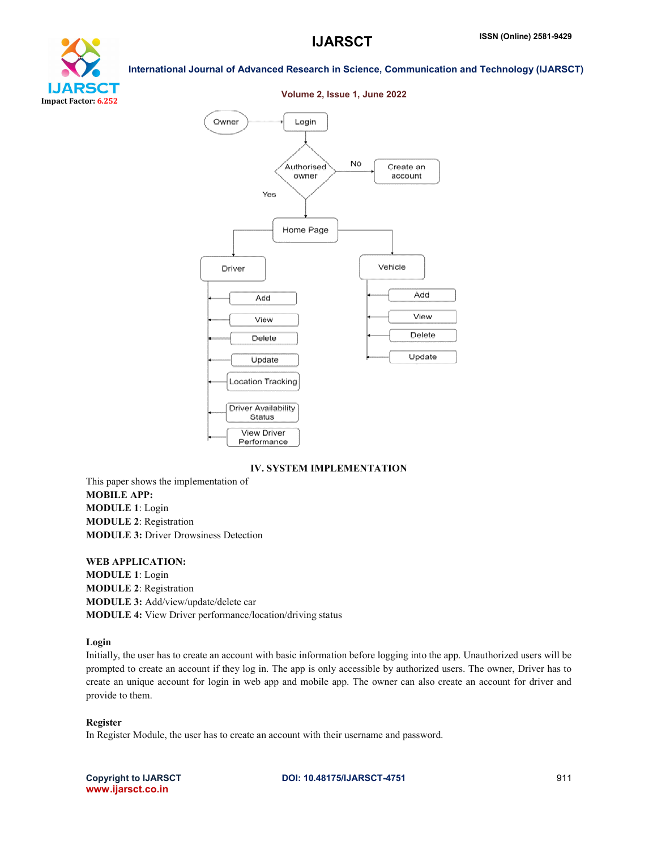



### IV. SYSTEM IMPLEMENTATION

This paper shows the implementation of MOBILE APP: MODULE 1: Login MODULE 2: Registration MODULE 3: Driver Drowsiness Detection

WEB APPLICATION: MODULE 1: Login MODULE 2: Registration MODULE 3: Add/view/update/delete car MODULE 4: View Driver performance/location/driving status

### Login

Initially, the user has to create an account with basic information before logging into the app. Unauthorized users will be prompted to create an account if they log in. The app is only accessible by authorized users. The owner, Driver has to create an unique account for login in web app and mobile app. The owner can also create an account for driver and provide to them.

#### Register

In Register Module, the user has to create an account with their username and password.

www.ijarsct.co.in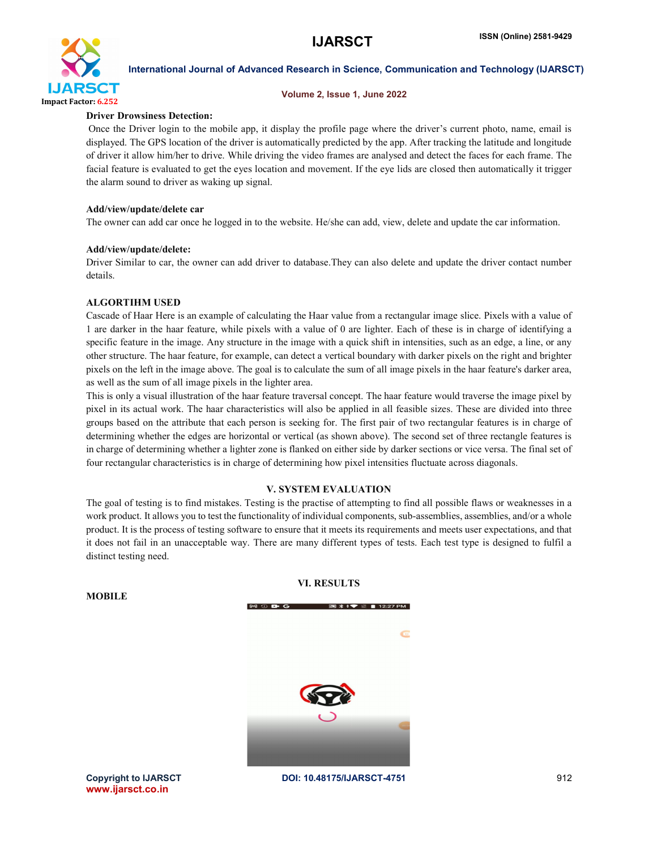

#### Volume 2, Issue 1, June 2022

### Driver Drowsiness Detection:

Once the Driver login to the mobile app, it display the profile page where the driver's current photo, name, email is displayed. The GPS location of the driver is automatically predicted by the app. After tracking the latitude and longitude of driver it allow him/her to drive. While driving the video frames are analysed and detect the faces for each frame. The facial feature is evaluated to get the eyes location and movement. If the eye lids are closed then automatically it trigger the alarm sound to driver as waking up signal.

#### Add/view/update/delete car

The owner can add car once he logged in to the website. He/she can add, view, delete and update the car information.

### Add/view/update/delete:

Driver Similar to car, the owner can add driver to database.They can also delete and update the driver contact number details.

### ALGORTIHM USED

Cascade of Haar Here is an example of calculating the Haar value from a rectangular image slice. Pixels with a value of 1 are darker in the haar feature, while pixels with a value of 0 are lighter. Each of these is in charge of identifying a specific feature in the image. Any structure in the image with a quick shift in intensities, such as an edge, a line, or any other structure. The haar feature, for example, can detect a vertical boundary with darker pixels on the right and brighter pixels on the left in the image above. The goal is to calculate the sum of all image pixels in the haar feature's darker area, as well as the sum of all image pixels in the lighter area.

This is only a visual illustration of the haar feature traversal concept. The haar feature would traverse the image pixel by pixel in its actual work. The haar characteristics will also be applied in all feasible sizes. These are divided into three groups based on the attribute that each person is seeking for. The first pair of two rectangular features is in charge of determining whether the edges are horizontal or vertical (as shown above). The second set of three rectangle features is in charge of determining whether a lighter zone is flanked on either side by darker sections or vice versa. The final set of four rectangular characteristics is in charge of determining how pixel intensities fluctuate across diagonals.

### V. SYSTEM EVALUATION

The goal of testing is to find mistakes. Testing is the practise of attempting to find all possible flaws or weaknesses in a work product. It allows you to test the functionality of individual components, sub-assemblies, assemblies, and/or a whole product. It is the process of testing software to ensure that it meets its requirements and meets user expectations, and that it does not fail in an unacceptable way. There are many different types of tests. Each test type is designed to fulfil a distinct testing need.

VI. RESULTS

| $M \oplus B$ G | <b>图 * • ▼ ■ 12:27 PM</b>                      |  |
|----------------|------------------------------------------------|--|
|                | $\bullet$                                      |  |
|                | <b>20</b><br>$\mathbf{G}$<br><b>CONTRACTOR</b> |  |

Copyright to IJARSCT **DOI: 10.48175/IJARSCT-4751** 912 www.ijarsct.co.in

**MOBILE**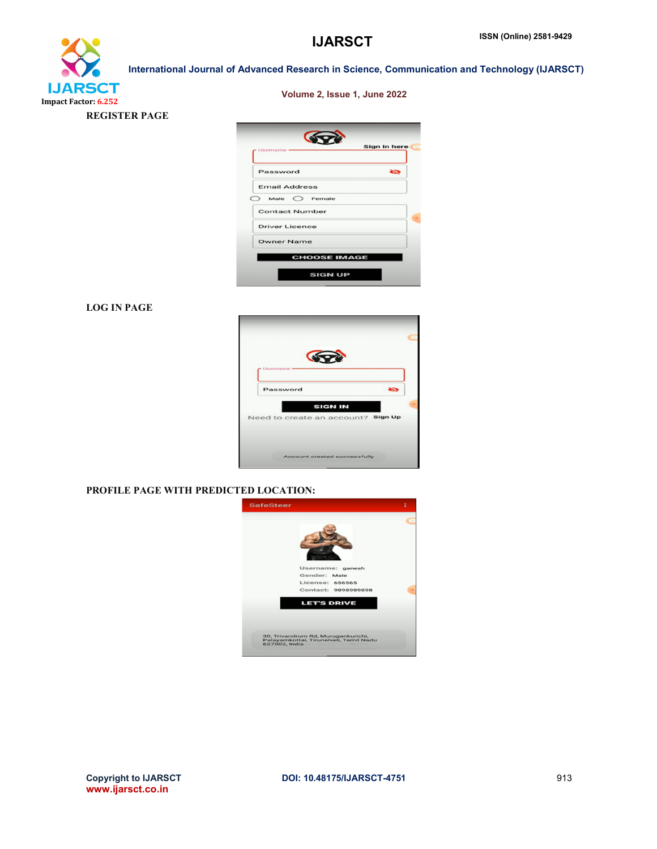

REGISTER PAGE

Volume 2, Issue 1, June 2022



# LOG IN PAGE



# PROFILE PAGE WITH PREDICTED LOCATION:

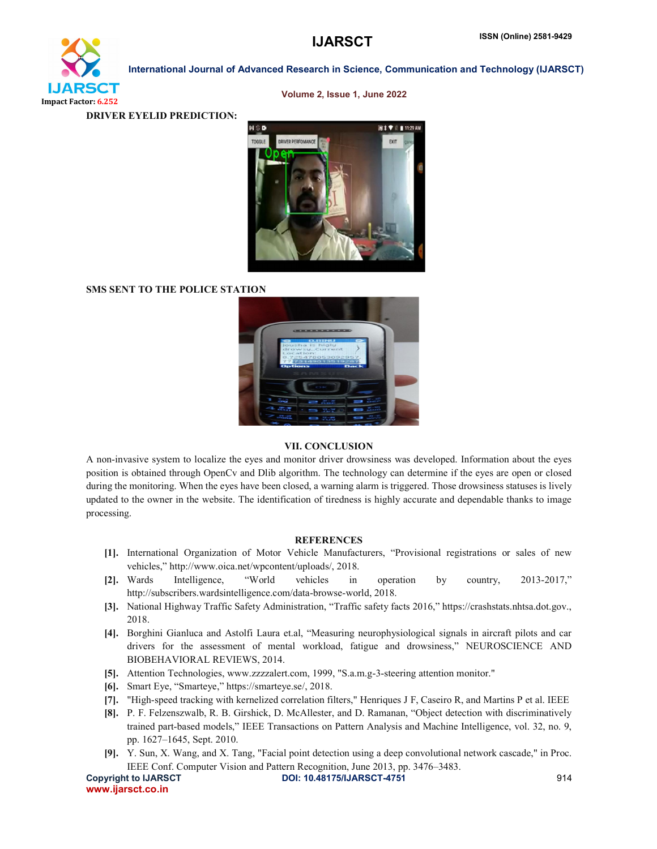

Volume 2, Issue 1, June 2022

DRIVER EYELID PREDICTION:



# SMS SENT TO THE POLICE STATION



#### VII. CONCLUSION

A non-invasive system to localize the eyes and monitor driver drowsiness was developed. Information about the eyes position is obtained through OpenCv and Dlib algorithm. The technology can determine if the eyes are open or closed during the monitoring. When the eyes have been closed, a warning alarm is triggered. Those drowsiness statuses is lively updated to the owner in the website. The identification of tiredness is highly accurate and dependable thanks to image processing.

#### REFERENCES

- [1]. International Organization of Motor Vehicle Manufacturers, "Provisional registrations or sales of new vehicles," http://www.oica.net/wpcontent/uploads/, 2018.
- [2]. Wards Intelligence, "World vehicles in operation by country, 2013-2017," http://subscribers.wardsintelligence.com/data-browse-world, 2018.
- [3]. National Highway Traffic Safety Administration, "Traffic safety facts 2016," https://crashstats.nhtsa.dot.gov., 2018.
- [4]. Borghini Gianluca and Astolfi Laura et.al, "Measuring neurophysiological signals in aircraft pilots and car drivers for the assessment of mental workload, fatigue and drowsiness," NEUROSCIENCE AND BIOBEHAVIORAL REVIEWS, 2014.
- [5]. Attention Technologies, www.zzzzalert.com, 1999, "S.a.m.g-3-steering attention monitor."
- [6]. Smart Eye, "Smarteye," https://smarteye.se/, 2018.
- [7]. "High-speed tracking with kernelized correlation filters," Henriques J F, Caseiro R, and Martins P et al. IEEE
- [8]. P. F. Felzenszwalb, R. B. Girshick, D. McAllester, and D. Ramanan, "Object detection with discriminatively trained part-based models," IEEE Transactions on Pattern Analysis and Machine Intelligence, vol. 32, no. 9, pp. 1627–1645, Sept. 2010.
- [9]. Y. Sun, X. Wang, and X. Tang, "Facial point detection using a deep convolutional network cascade," in Proc. IEEE Conf. Computer Vision and Pattern Recognition, June 2013, pp. 3476–3483.

Copyright to IJARSCT **DOI: 10.48175/IJARSCT-4751** 914